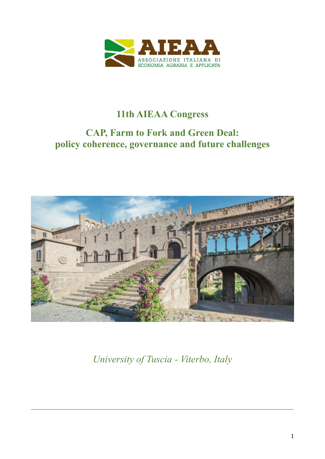

## **11th AIEAA Congress**

# **CAP, Farm to Fork and Green Deal: policy coherence, governance and future challenges**



*University of Tuscia - Viterbo, Italy*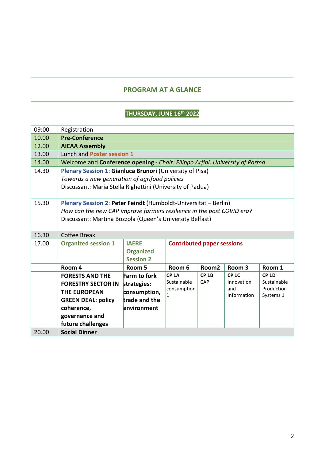#### **PROGRAM AT A GLANCE**

#### **THURSDAY, JUNE 16th 2022**

| 09:00 | Registration                                                                |                     |                                   |                   |                   |                           |
|-------|-----------------------------------------------------------------------------|---------------------|-----------------------------------|-------------------|-------------------|---------------------------|
| 10.00 | <b>Pre-Conference</b>                                                       |                     |                                   |                   |                   |                           |
| 12.00 | <b>AIEAA Assembly</b>                                                       |                     |                                   |                   |                   |                           |
| 13.00 | Lunch and Poster session 1                                                  |                     |                                   |                   |                   |                           |
| 14.00 | Welcome and Conference opening - Chair: Filippo Arfini, University of Parma |                     |                                   |                   |                   |                           |
| 14.30 | Plenary Session 1: Gianluca Brunori (University of Pisa)                    |                     |                                   |                   |                   |                           |
|       | Towards a new generation of agrifood policies                               |                     |                                   |                   |                   |                           |
|       | Discussant: Maria Stella Righettini (University of Padua)                   |                     |                                   |                   |                   |                           |
|       |                                                                             |                     |                                   |                   |                   |                           |
| 15.30 | Plenary Session 2: Peter Feindt (Humboldt-Universität - Berlin)             |                     |                                   |                   |                   |                           |
|       | How can the new CAP improve farmers resilience in the post COVID era?       |                     |                                   |                   |                   |                           |
|       | Discussant: Martina Bozzola (Queen's University Belfast)                    |                     |                                   |                   |                   |                           |
|       |                                                                             |                     |                                   |                   |                   |                           |
| 16.30 | <b>Coffee Break</b>                                                         |                     |                                   |                   |                   |                           |
| 17.00 | <b>Organized session 1</b>                                                  | <b>IAERE</b>        | <b>Contributed paper sessions</b> |                   |                   |                           |
|       |                                                                             | <b>Organized</b>    |                                   |                   |                   |                           |
|       |                                                                             | <b>Session 2</b>    |                                   |                   |                   |                           |
|       | Room 4                                                                      | Room 5              | Room 6                            | Room <sub>2</sub> | Room <sub>3</sub> | Room 1                    |
|       | <b>FORESTS AND THE</b>                                                      | <b>Farm to fork</b> | CP <sub>1A</sub>                  | $CP$ 1B           | <b>CP 1C</b>      | $CP$ 1D                   |
|       | <b>FORESTRY SECTOR IN</b>                                                   | strategies:         | Sustainable<br>consumption        | CAP               | Innovation<br>and | Sustainable<br>Production |
|       | <b>THE EUROPEAN</b>                                                         | consumption,        | 1                                 |                   | Information       | Systems 1                 |
|       | <b>GREEN DEAL: policy</b>                                                   | trade and the       |                                   |                   |                   |                           |
|       | coherence,                                                                  | environment         |                                   |                   |                   |                           |
|       | governance and                                                              |                     |                                   |                   |                   |                           |
|       | future challenges                                                           |                     |                                   |                   |                   |                           |
| 20.00 | <b>Social Dinner</b>                                                        |                     |                                   |                   |                   |                           |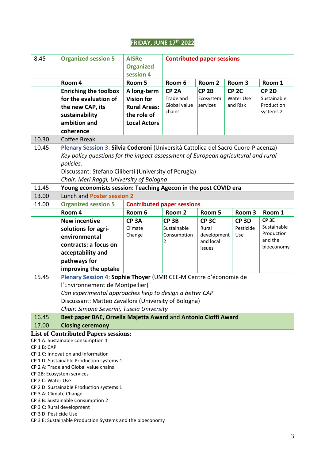#### **FRIDAY, JUNE 17th 2022**

| 8.45                                                                             | <b>Organized session 5</b>                                                                                                                                                                                                                                                                | <b>AISRe</b><br><b>Organized</b>                                       | <b>Contributed paper sessions</b>                       |                                           |                                           |                                                            |
|----------------------------------------------------------------------------------|-------------------------------------------------------------------------------------------------------------------------------------------------------------------------------------------------------------------------------------------------------------------------------------------|------------------------------------------------------------------------|---------------------------------------------------------|-------------------------------------------|-------------------------------------------|------------------------------------------------------------|
|                                                                                  |                                                                                                                                                                                                                                                                                           | session 4                                                              |                                                         |                                           |                                           |                                                            |
|                                                                                  | Room 4                                                                                                                                                                                                                                                                                    | Room 5                                                                 | Room 6                                                  | Room <sub>2</sub>                         | Room 3                                    | Room 1                                                     |
|                                                                                  | <b>Enriching the toolbox</b><br>for the evaluation of<br>the new CAP, its<br>sustainability                                                                                                                                                                                               | A long-term<br><b>Vision for</b><br><b>Rural Areas:</b><br>the role of | CP <sub>2A</sub><br>Trade and<br>Global value<br>chains | CP <sub>2B</sub><br>Ecosystem<br>services | CP <sub>2C</sub><br>Water Use<br>and Risk | CP <sub>2D</sub><br>Sustainable<br>Production<br>systems 2 |
|                                                                                  | ambition and                                                                                                                                                                                                                                                                              | <b>Local Actors</b>                                                    |                                                         |                                           |                                           |                                                            |
|                                                                                  | coherence                                                                                                                                                                                                                                                                                 |                                                                        |                                                         |                                           |                                           |                                                            |
| 10.30                                                                            | Coffee Break                                                                                                                                                                                                                                                                              |                                                                        |                                                         |                                           |                                           |                                                            |
| 10.45                                                                            | Plenary Session 3: Silvia Coderoni (Università Cattolica del Sacro Cuore-Piacenza)<br>Key policy questions for the impact assessment of European agricultural and rural<br>policies.<br>Discussant: Stefano Ciliberti (University of Perugia)<br>Chair: Meri Raggi, University of Bologna |                                                                        |                                                         |                                           |                                           |                                                            |
| 11.45                                                                            | Young economists session: Teaching Agecon in the post COVID era                                                                                                                                                                                                                           |                                                                        |                                                         |                                           |                                           |                                                            |
| 13.00                                                                            | Lunch and Poster session 2                                                                                                                                                                                                                                                                |                                                                        |                                                         |                                           |                                           |                                                            |
| 14.00                                                                            | <b>Organized session 5</b>                                                                                                                                                                                                                                                                | <b>Contributed paper sessions</b>                                      |                                                         |                                           |                                           |                                                            |
|                                                                                  | Room 4                                                                                                                                                                                                                                                                                    | Room 6                                                                 | Room 2                                                  | Room 5                                    | Room 3                                    | Room 1                                                     |
|                                                                                  | <b>New incentive</b>                                                                                                                                                                                                                                                                      | CP <sub>3</sub> A                                                      | CP <sub>3B</sub>                                        | <b>CP 3C</b>                              | CP <sub>3D</sub>                          | CP <sub>3E</sub>                                           |
|                                                                                  | solutions for agri-                                                                                                                                                                                                                                                                       | Climate                                                                | Sustainable                                             | Rural                                     | Pesticide                                 | Sustainable<br>Production                                  |
|                                                                                  | environmental                                                                                                                                                                                                                                                                             | Change                                                                 | Consumption                                             | development<br>and local                  | Use                                       | and the                                                    |
|                                                                                  | contracts: a focus on                                                                                                                                                                                                                                                                     |                                                                        | 2                                                       | issues                                    |                                           | bioeconomy                                                 |
|                                                                                  | acceptability and                                                                                                                                                                                                                                                                         |                                                                        |                                                         |                                           |                                           |                                                            |
|                                                                                  | pathways for                                                                                                                                                                                                                                                                              |                                                                        |                                                         |                                           |                                           |                                                            |
|                                                                                  | improving the uptake                                                                                                                                                                                                                                                                      |                                                                        |                                                         |                                           |                                           |                                                            |
| 15.45                                                                            | Plenary Session 4: Sophie Thoyer (UMR CEE-M Centre d'économie de                                                                                                                                                                                                                          |                                                                        |                                                         |                                           |                                           |                                                            |
|                                                                                  | l'Environnement de Montpellier)                                                                                                                                                                                                                                                           |                                                                        |                                                         |                                           |                                           |                                                            |
|                                                                                  | Can experimental approaches help to design a better CAP                                                                                                                                                                                                                                   |                                                                        |                                                         |                                           |                                           |                                                            |
|                                                                                  | Discussant: Matteo Zavalloni (University of Bologna)                                                                                                                                                                                                                                      |                                                                        |                                                         |                                           |                                           |                                                            |
|                                                                                  | Chair: Simone Severini, Tuscia University                                                                                                                                                                                                                                                 |                                                                        |                                                         |                                           |                                           |                                                            |
| 16.45                                                                            | Best paper BAE, Ornella Majetta Award and Antonio Cioffi Award                                                                                                                                                                                                                            |                                                                        |                                                         |                                           |                                           |                                                            |
| 17.00                                                                            | <b>Closing ceremony</b>                                                                                                                                                                                                                                                                   |                                                                        |                                                         |                                           |                                           |                                                            |
| <b>List of Contributed Papers sessions:</b><br>CP 1 A: Sustainable consumption 1 |                                                                                                                                                                                                                                                                                           |                                                                        |                                                         |                                           |                                           |                                                            |
| CP 1 B: CAP                                                                      |                                                                                                                                                                                                                                                                                           |                                                                        |                                                         |                                           |                                           |                                                            |
|                                                                                  | CP 1 C: Innovation and Information                                                                                                                                                                                                                                                        |                                                                        |                                                         |                                           |                                           |                                                            |
|                                                                                  | CP 1 D: Sustainable Production systems 1                                                                                                                                                                                                                                                  |                                                                        |                                                         |                                           |                                           |                                                            |
|                                                                                  | CP 2 A: Trade and Global value chains                                                                                                                                                                                                                                                     |                                                                        |                                                         |                                           |                                           |                                                            |
| CP 2B: Ecosystem services<br>CP 2 C: Water Use                                   |                                                                                                                                                                                                                                                                                           |                                                                        |                                                         |                                           |                                           |                                                            |
|                                                                                  | CP 2 D: Sustainable Production systems 1                                                                                                                                                                                                                                                  |                                                                        |                                                         |                                           |                                           |                                                            |
|                                                                                  | CP 3 A: Climate Change                                                                                                                                                                                                                                                                    |                                                                        |                                                         |                                           |                                           |                                                            |
|                                                                                  | CP 3 B: Sustainable Consumption 2                                                                                                                                                                                                                                                         |                                                                        |                                                         |                                           |                                           |                                                            |

- CP 3 C: Rural development
- CP 3 D: Pesticide Use
- CP 3 E: Sustainable Production Systems and the bioeconomy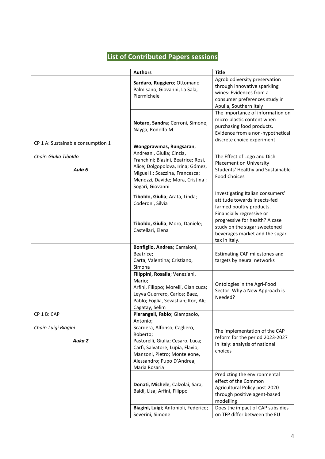## **List of Contributed Papers sessions**

|                                               | <b>Authors</b>                                                                                                                                                                                                                                | <b>Title</b>                                                                                                                                                  |
|-----------------------------------------------|-----------------------------------------------------------------------------------------------------------------------------------------------------------------------------------------------------------------------------------------------|---------------------------------------------------------------------------------------------------------------------------------------------------------------|
|                                               | Sardaro, Ruggiero; Ottomano<br>Palmisano, Giovanni; La Sala,<br>Piermichele                                                                                                                                                                   | Agrobiodiversity preservation<br>through innovative sparkling<br>wines: Evidences from a<br>consumer preferences study in<br>Apulia, Southern Italy           |
| CP 1 A: Sustainable consumption 1             | Notaro, Sandra; Cerroni, Simone;<br>Nayga, Rodolfo M.                                                                                                                                                                                         | The importance of information on<br>micro-plastic content when<br>purchasing food products.<br>Evidence from a non-hypothetical<br>discrete choice experiment |
| Chair: Giulia Tiboldo<br>Aula <sub>6</sub>    | Wongprawmas, Rungsaran;<br>Andreani, Giulia; Cinzia,<br>Franchini; Biasini, Beatrice; Rosi,<br>Alice; Dolgopolova, Irina; Gómez,<br>Miguel I.; Scazzina, Francesca;<br>Menozzi, Davide; Mora, Cristina;<br>Sogari, Giovanni                   | The Effect of Logo and Dish<br>Placement on University<br>Students' Healthy and Sustainable<br><b>Food Choices</b>                                            |
|                                               | Tiboldo, Giulia; Arata, Linda;<br>Coderoni, Silvia                                                                                                                                                                                            | Investigating Italian consumers'<br>attitude towards insects-fed<br>farmed poultry products.                                                                  |
|                                               | Tiboldo, Giulia; Moro, Daniele;<br>Castellari, Elena                                                                                                                                                                                          | Financially regressive or<br>progressive for health? A case<br>study on the sugar sweetened<br>beverages market and the sugar<br>tax in Italy.                |
|                                               | Bonfiglio, Andrea; Camaioni,<br>Beatrice;<br>Carta, Valentina; Cristiano,<br>Simona                                                                                                                                                           | Estimating CAP milestones and<br>targets by neural networks                                                                                                   |
|                                               | Filippini, Rosalia; Veneziani,<br>Mario;<br>Arfini, Filippo; Morelli, Gianlcuca;<br>Leyva Guerrero, Carlos; Baez,<br>Pablo; Foglia, Sevastian; Koc, Ali;<br>Cagatay, Selim                                                                    | Ontologies in the Agri-Food<br>Sector: Why a New Approach is<br>Needed?                                                                                       |
| CP 1 B: CAP<br>Chair: Luigi Biagini<br>Auka 2 | Pierangeli, Fabio; Giampaolo,<br>Antonio;<br>Scardera, Alfonso; Cagliero,<br>Roberto;<br>Pastorelli, Giulia; Cesaro, Luca;<br>Carfi, Salvatore; Lupia, Flavio;<br>Manzoni, Pietro; Monteleone,<br>Alessandro; Pupo D'Andrea,<br>Maria Rosaria | The implementation of the CAP<br>reform for the period 2023-2027<br>in Italy: analysis of national<br>choices                                                 |
|                                               | Donati, Michele; Calzolai, Sara;<br>Baldi, Lisa; Arfini, Filippo                                                                                                                                                                              | Predicting the environmental<br>effect of the Common<br>Agricultural Policy post-2020<br>through positive agent-based<br>modelling                            |
|                                               | Biagini, Luigi; Antonioli, Federico;<br>Severini, Simone                                                                                                                                                                                      | Does the impact of CAP subsidies<br>on TFP differ between the EU                                                                                              |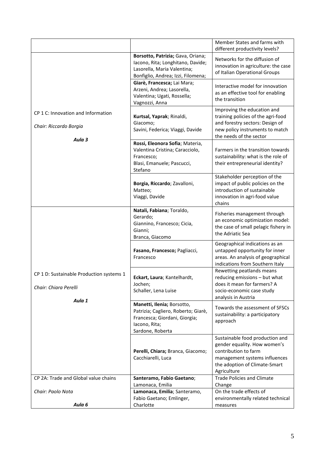|                                                                             |                                                                                                                                             | Member States and farms with<br>different productivity levels?                                                                                                           |
|-----------------------------------------------------------------------------|---------------------------------------------------------------------------------------------------------------------------------------------|--------------------------------------------------------------------------------------------------------------------------------------------------------------------------|
|                                                                             | Borsotto, Patrizia; Gava, Oriana;<br>Iacono, Rita; Longhitano, Davide;<br>Lasorella, Maria Valentina;<br>Bonfiglio, Andrea; Izzi, Filomena; | Networks for the diffusion of<br>innovation in agriculture: the case<br>of Italian Operational Groups                                                                    |
|                                                                             | Giarè, Francesca; Lai Mara;<br>Arzeni, Andrea; Lasorella,<br>Valentina; Ugati, Rossella;<br>Vagnozzi, Anna                                  | Interactive model for innovation<br>as an effective tool for enabling<br>the transition                                                                                  |
| CP 1 C: Innovation and Information<br>Chair: Riccardo Borgia<br>Aula 3      | Kurtsal, Yaprak; Rinaldi,<br>Giacomo;<br>Savini, Federica; Viaggi, Davide                                                                   | Improving the education and<br>training policies of the agri-food<br>and forestry sectors: Design of<br>new policy instruments to match<br>the needs of the sector       |
|                                                                             | Rossi, Eleonora Sofia; Materia,<br>Valentina Cristina; Caracciolo,<br>Francesco;<br>Blasi, Emanuele; Pascucci,<br>Stefano                   | Farmers in the transition towards<br>sustainability: what is the role of<br>their entrepreneurial identity?                                                              |
|                                                                             | Borgia, Riccardo; Zavalloni,<br>Matteo;<br>Viaggi, Davide                                                                                   | Stakeholder perception of the<br>impact of public policies on the<br>introduction of sustainable<br>innovation in agri-food value<br>chains                              |
|                                                                             | Natali, Fabiana; Toraldo,<br>Gerardo;<br>Giannino, Francesco; Cicia,<br>Gianni;<br>Branca, Giacomo                                          | Fisheries management through<br>an economic optimization model:<br>the case of small pelagic fishery in<br>the Adriatic Sea                                              |
|                                                                             | Fasano, Francesco; Pagliacci,<br>Francesco                                                                                                  | Geographical indications as an<br>untapped opportunity for inner<br>areas. An analysis of geographical<br>indications from Southern Italy                                |
| CP 1 D: Sustainable Production systems 1<br>Chair: Chiara Perelli<br>Aula 1 | Eckart, Laura; Kantelhardt,<br>Jochen;<br>Schaller, Lena Luise                                                                              | Rewetting peatlands means<br>reducing emissions - but what<br>does it mean for farmers? A<br>socio-economic case study<br>analysis in Austria                            |
|                                                                             | Manetti, Ilenia; Borsotto,<br>Patrizia; Cagliero, Roberto; Giarè,<br>Francesca; Giordani, Giorgia;<br>lacono, Rita;<br>Sardone, Roberta     | Towards the assessment of SFSCs<br>sustainability: a participatory<br>approach                                                                                           |
|                                                                             | Perelli, Chiara; Branca, Giacomo;<br>Cacchiarelli, Luca                                                                                     | Sustainable food production and<br>gender equality. How women's<br>contribution to farm<br>management systems influences<br>the adoption of Climate-Smart<br>Agriculture |
| CP 2A: Trade and Global value chains                                        | Santeramo, Fabio Gaetano;<br>Lamonaca, Emilia                                                                                               | <b>Trade Policies and Climate</b><br>Change                                                                                                                              |
| Chair: Paolo Nota                                                           | Lamonaca, Emilia; Santeramo,<br>Fabio Gaetano; Emlinger,                                                                                    | On the trade effects of<br>environmentally related technical                                                                                                             |
| Aula 6                                                                      | Charlotte                                                                                                                                   | measures                                                                                                                                                                 |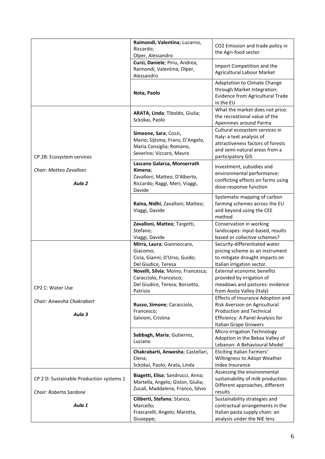|                                                                    | Raimondi, Valentina; Lucarno,<br>Riccardo;<br>Olper, Alessandro                                                     | CO2 Emission and trade policy in<br>the Agri-food sector                                                                                                                  |
|--------------------------------------------------------------------|---------------------------------------------------------------------------------------------------------------------|---------------------------------------------------------------------------------------------------------------------------------------------------------------------------|
|                                                                    | Curzi, Daniele; Piriu, Andrea;<br>Raimondi, Valentina; Olper,<br>Alessandro                                         | Import Competition and the<br><b>Agricultural Labour Market</b>                                                                                                           |
|                                                                    | Nota, Paolo                                                                                                         | Adaptation to Climate Change<br>through Market Integration:<br>Evidence from Agricultural Trade<br>in the EU                                                              |
|                                                                    | ARATA, Linda; Tiboldo, Giulia;<br>Sckokai, Paolo                                                                    | What the market does not price:<br>the recreational value of the<br>Apennines around Parma                                                                                |
| CP 2B: Ecosystem services                                          | Simeone, Sara; Cozzi,<br>Mario; Sijtsma, Frans; D'Angelo,<br>Maria Consiglia; Romano,<br>Severino; Viccaro, Mauro   | Cultural ecosystem services in<br>Italy: a text analysis of<br>attractiveness factors of forests<br>and semi-natural areas from a<br>participatory GIS                    |
| Chair: Matteo Zavalloni<br>Aula <sub>2</sub>                       | Lascano Galarza, Monserrath<br>Ximena;<br>Zavalloni, Matteo; D'Alberto,<br>Riccardo; Raggi, Meri; Viaggi,<br>Davide | Investment, subsidies and<br>environmental performance:<br>conflicting effects on farms using<br>dose-response function                                                   |
|                                                                    | Raina, Nidhi; Zavalloni, Matteo;<br>Viaggi, Davide                                                                  | Systematic mapping of carbon<br>farming schemes across the EU<br>and beyond using the CEE<br>method                                                                       |
|                                                                    | Zavalloni, Matteo; Targetti,<br>Stefano;<br>Viaggi, Davide                                                          | Conservation in working<br>landscapes: input-based, results<br>based or collective schemes?                                                                               |
|                                                                    | Mirra, Laura; Giannoccaro,<br>Giacomo;<br>Cicia, Gianni; D'Urso, Guido;<br>Del Giudice, Teresa                      | Security-differentiated water<br>pricing scheme as an instrument<br>to mitigate drought impacts on<br>Italian irrigation sector.                                          |
| CP2 C: Water Use                                                   | Novelli, Silvia; Moino, Francesca;<br>Caracciolo, Francesco;<br>Del Giudice, Teresa; Borsotto,<br>Patrizia          | External economic benefits<br>provided by irrigation of<br>meadows and pastures: evidence<br>from Aosta Valley (Italy)                                                    |
| Chair: Anwesha Chakrabart<br>Aula 3                                | Russo, Simone; Caracciolo,<br>Francesco;<br>Salvioni, Cristina                                                      | <b>Effects of Insurance Adoption and</b><br>Risk Aversion on Agricultural<br><b>Production and Technical</b><br>Efficiency: A Panel Analysis for<br>Italian Grape Growers |
|                                                                    | Sabbagh, Maria; Gutierrez,<br>Luciano                                                                               | Micro-irrigation Technology<br>Adoption in the Bekaa Valley of<br>Lebanon: A Behavioural Model                                                                            |
|                                                                    | Chakrabarti, Anwesha; Castellari,<br>Elena;<br>Sckokai, Paolo; Arata, Linda                                         | Eliciting Italian Farmers'<br>Willingness to Adopt Weather<br>Index Insurance                                                                                             |
| CP 2 D: Sustainable Production systems 1<br>Chair: Roberta Sardone | Biagetti, Elisa; Sandrucci, Anna;<br>Martella, Angelo; Gislon, Giulia;<br>Zucali, Maddalena; Franco, Silvio         | Assessing the environmental<br>sustainability of milk production.<br>Different approaches, different<br>results                                                           |
| Aula 1                                                             | Ciliberti, Stefano; Stanco,<br>Marcello;<br>Frascarelli, Angelo; Marotta,<br>Giuseppe;                              | Sustainability strategies and<br>contractual arrangements in the<br>Italian pasta supply chain: an<br>analysis under the NIE lens                                         |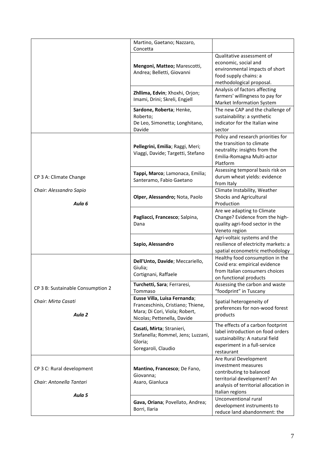|                                                       | Martino, Gaetano; Nazzaro,<br>Concetta                                                                                            |                                                                                                                                                                     |
|-------------------------------------------------------|-----------------------------------------------------------------------------------------------------------------------------------|---------------------------------------------------------------------------------------------------------------------------------------------------------------------|
|                                                       | Mengoni, Matteo; Marescotti,<br>Andrea; Belletti, Giovanni                                                                        | Qualitative assessment of<br>economic, social and<br>environmental impacts of short<br>food supply chains: a<br>methodological proposal.                            |
|                                                       | Zhllima, Edvin; Xhoxhi, Orjon;<br>Imami, Drini; Skreli, Engjell                                                                   | Analysis of factors affecting<br>farmers' willingness to pay for<br>Market Information System                                                                       |
|                                                       | Sardone, Roberta; Henke,<br>Roberto;<br>De Leo, Simonetta; Longhitano,<br>Davide                                                  | The new CAP and the challenge of<br>sustainability: a synthetic<br>indicator for the Italian wine<br>sector                                                         |
|                                                       | Pellegrini, Emilia; Raggi, Meri;<br>Viaggi, Davide; Targetti, Stefano                                                             | Policy and research priorities for<br>the transition to climate<br>neutrality: insights from the<br>Emilia-Romagna Multi-actor<br>Platform                          |
| CP 3 A: Climate Change                                | Tappi, Marco; Lamonaca, Emilia;<br>Santeramo, Fabio Gaetano                                                                       | Assessing temporal basis risk on<br>durum wheat yields: evidence<br>from Italy                                                                                      |
| Chair: Alessandro Sapio<br>Aula 6                     | Olper, Alessandro; Nota, Paolo                                                                                                    | Climate Instability, Weather<br>Shocks and Agricultural<br>Production                                                                                               |
|                                                       | Pagliacci, Francesco; Salpina,<br>Dana                                                                                            | Are we adapting to Climate<br>Change? Evidence from the high-<br>quality agri-food sector in the<br>Veneto region                                                   |
|                                                       | Sapio, Alessandro                                                                                                                 | Agri-voltaic systems and the<br>resilience of electricity markets: a<br>spatial econometric methodology                                                             |
|                                                       | Dell'Unto, Davide; Meccariello,<br>Giulia;<br>Cortignani, Raffaele                                                                | Healthy food consumption in the<br>Covid era: empirical evidence<br>from Italian consumers choices<br>on functional products                                        |
| CP 3 B: Sustainable Consumption 2                     | Turchetti, Sara; Ferraresi,<br>Tommaso                                                                                            | Assessing the carbon and waste<br>"foodprint" in Tuscany                                                                                                            |
| Chair: Mirta Casati<br>Aula <sub>2</sub>              | Eusse Villa, Luisa Fernanda;<br>Franceschinis, Cristiano; Thiene,<br>Mara; Di Cori, Viola; Robert,<br>Nicolas; Pettenella, Davide | Spatial heterogeneity of<br>preferences for non-wood forest<br>products                                                                                             |
|                                                       | Casati, Mirta; Stranieri,<br>Stefanella; Rommel, Jens; Luzzani,<br>Gloria;<br>Soregaroli, Claudio                                 | The effects of a carbon footprint<br>label introduction on food orders<br>sustainability: A natural field<br>experiment in a full-service<br>restaurant             |
| CP 3 C: Rural development<br>Chair: Antonella Tantari | Mantino, Francesco; De Fano,<br>Giovanna;<br>Asaro, Gianluca                                                                      | Are Rural Development<br>investment measures<br>contributing to balanced<br>territorial development? An<br>analysis of territorial allocation in<br>Italian regions |
| Aula 5                                                | Gava, Oriana; Povellato, Andrea;<br>Borri, Ilaria                                                                                 | Unconventional rural<br>development instruments to<br>reduce land abandonment: the                                                                                  |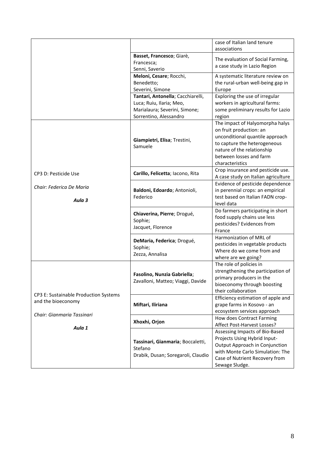|                                                                                           |                                                                                                                          | case of Italian land tenure<br>associations                                                                                                                                                               |
|-------------------------------------------------------------------------------------------|--------------------------------------------------------------------------------------------------------------------------|-----------------------------------------------------------------------------------------------------------------------------------------------------------------------------------------------------------|
|                                                                                           | Basset, Francesco; Giarè,<br>Francesca;<br>Senni, Saverio                                                                | The evaluation of Social Farming,<br>a case study in Lazio Region                                                                                                                                         |
|                                                                                           | Meloni, Cesare; Rocchi,<br>Benedetto;<br>Severini, Simone                                                                | A systematic literature review on<br>the rural-urban well-being gap in<br>Europe                                                                                                                          |
|                                                                                           | Tantari, Antonella; Cacchiarelli,<br>Luca; Ruiu, Ilaria; Meo,<br>Marialaura; Severini, Simone;<br>Sorrentino, Alessandro | Exploring the use of irregular<br>workers in agricultural farms:<br>some preliminary results for Lazio<br>region                                                                                          |
|                                                                                           | Giampietri, Elisa; Trestini,<br>Samuele                                                                                  | The impact of Halyomorpha halys<br>on fruit production: an<br>unconditional quantile approach<br>to capture the heterogeneous<br>nature of the relationship<br>between losses and farm<br>characteristics |
| CP3 D: Pesticide Use                                                                      | Carillo, Felicetta; Iacono, Rita                                                                                         | Crop insurance and pesticide use.<br>A case study on Italian agriculture                                                                                                                                  |
| Chair: Federica De Maria<br>Aula 3                                                        | Baldoni, Edoardo; Antonioli,<br>Federico                                                                                 | Evidence of pesticide dependence<br>in perennial crops: an empirical<br>test based on Italian FADN crop-<br>level data                                                                                    |
|                                                                                           | Chiaverina, Pierre; Drogué,<br>Sophie;<br>Jacquet, Florence                                                              | Do farmers participating in short<br>food supply chains use less<br>pesticides? Evidences from<br>France                                                                                                  |
|                                                                                           | DeMaria, Federica; Drogué,<br>Sophie;<br>Zezza, Annalisa                                                                 | Harmonization of MRL of<br>pesticides in vegetable products<br>Where do we come from and<br>where are we going?                                                                                           |
|                                                                                           | Fasolino, Nunzia Gabriella;<br>Zavalloni, Matteo; Viaggi, Davide                                                         | The role of policies in<br>strengthening the participation of<br>primary producers in the<br>bioeconomy through boosting<br>their collaboration                                                           |
| CP3 E: Sustainable Production Systems<br>and the bioeconomy<br>Chair: Gianmaria Tassinari | Miftari, Iliriana                                                                                                        | Efficiency estimation of apple and<br>grape farms in Kosovo - an<br>ecosystem services approach                                                                                                           |
| Aula 1                                                                                    | Xhoxhi, Orjon                                                                                                            | How does Contract Farming<br>Affect Post-Harvest Losses?                                                                                                                                                  |
|                                                                                           | Tassinari, Gianmaria; Boccaletti,<br>Stefano<br>Drabik, Dusan; Soregaroli, Claudio                                       | Assessing Impacts of Bio-Based<br>Projects Using Hybrid Input-<br>Output Approach in Conjunction<br>with Monte Carlo Simulation: The<br>Case of Nutrient Recovery from<br>Sewage Sludge.                  |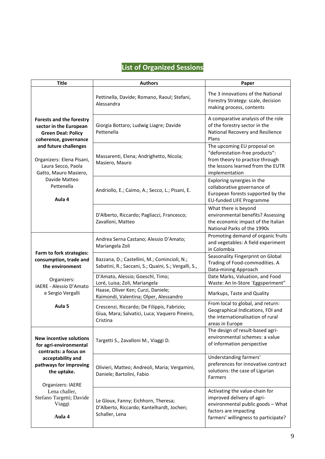## **List of Organized Sessions**

| <b>Title</b>                                                                                                                                                                                                         | <b>Authors</b>                                                                                           | Paper                                                                                                                                                              |
|----------------------------------------------------------------------------------------------------------------------------------------------------------------------------------------------------------------------|----------------------------------------------------------------------------------------------------------|--------------------------------------------------------------------------------------------------------------------------------------------------------------------|
|                                                                                                                                                                                                                      | Pettinella, Davide; Romano, Raoul; Stefani,<br>Alessandra                                                | The 3 innovations of the National<br>Forestry Strategy: scale, decision<br>making process, contents                                                                |
| <b>Forests and the forestry</b><br>sector in the European<br><b>Green Deal: Policy</b><br>coherence, governance<br>and future challenges<br>Organizers: Elena Pisani,<br>Laura Secco, Paola<br>Gatto, Mauro Masiero, | Giorgia Bottaro; Ludwig Liagre; Davide<br>Pettenella                                                     | A comparative analysis of the role<br>of the forestry sector in the<br>National Recovery and Resilience<br>Plans                                                   |
|                                                                                                                                                                                                                      | Massarenti, Elena; Andrighetto, Nicola;<br>Masiero, Mauro                                                | The upcoming EU proposal on<br>"deforestation-free products":<br>from theory to practice through<br>the lessons learned from the EUTR<br>implementation            |
| Davide Matteo<br>Pettenella<br>Aula 4                                                                                                                                                                                | Andriollo, E.; Caimo, A.; Secco, L.; Pisani, E.                                                          | Exploring synergies in the<br>collaborative governance of<br>European forests supported by the<br><b>EU-funded LIFE Programme</b>                                  |
|                                                                                                                                                                                                                      | D'Alberto, Riccardo; Pagliacci, Francesco;<br>Zavalloni, Matteo                                          | What there is beyond<br>environmental benefits? Assessing<br>the economic impact of the Italian<br>National Parks of the 1990s                                     |
|                                                                                                                                                                                                                      | Andrea Serna Castano; Alessio D'Amato;<br>Mariangela Zoli                                                | Promoting demand of organic fruits<br>and vegetables: A field experiment<br>in Colombia                                                                            |
| Farm to fork strategies:<br>consumption, trade and<br>the environment                                                                                                                                                | Bazzana, D.; Castellini, M.; Comincioli, N.;<br>Sabatini, R.; Saccani, S.; Quaini, S.; Vergalli, S.,     | Seasonality Fingerprint on Global<br>Trading of Food-commodities. A<br>Data-mining Approach                                                                        |
| Organizers:                                                                                                                                                                                                          | D'Amato, Alessio; Goeschl, Timo;<br>Loré, Luisa; Zoli, Mariangela                                        | Date Marks, Valuation, and Food<br>Waste: An In-Store `Eggsperiment"                                                                                               |
| IAERE - Alessio D'Amato<br>e Sergio Vergalli                                                                                                                                                                         | Haase, Oliver Ken; Curzi, Daniele;<br>Raimondi, Valentina; Olper, Alessandro                             | Markups, Taste and Quality                                                                                                                                         |
| Aula <sub>5</sub>                                                                                                                                                                                                    | Crescenzi, Riccardo; De Filippis, Fabrizio;<br>Giua, Mara; Salvatici, Luca; Vaquero Pineiro,<br>Cristina | From local to global, and return:<br>Geographical Indications, FDI and<br>the internationalisation of rural<br>areas in Europe                                     |
| <b>New incentive solutions</b><br>for agri-environmental<br>contracts: a focus on                                                                                                                                    | Targetti S., Zavalloni M., Viaggi D.                                                                     | The design of result-based agri-<br>environmental schemes: a value<br>of information perspective                                                                   |
| acceptability and<br>pathways for improving<br>the uptake.<br>Organizers: IAERE                                                                                                                                      | Olivieri, Matteo; Andreoli, Maria; Vergamini,<br>Daniele; Bartolini, Fabio                               | Understanding farmers'<br>preferences for innovative contract<br>solutions: the case of Ligurian<br><b>Farmers</b>                                                 |
| Lena challer,<br>Stefano Targetti; Davide<br>Viaggi<br>Aula 4                                                                                                                                                        | Le Gloux, Fanny; Eichhorn, Theresa;<br>D'Alberto, Riccardo; Kantelhardt, Jochen;<br>Schaller, Lena       | Activating the value-chain for<br>improved delivery of agri-<br>environmental public goods - What<br>factors are impacting<br>farmers' willingness to participate? |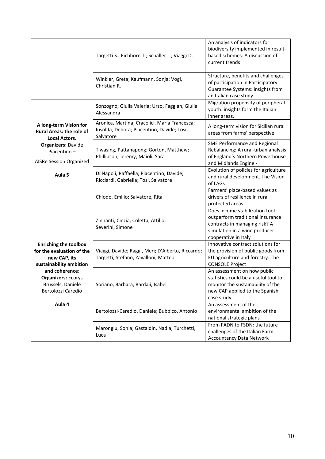|                                                                                                      | Targetti S.; Eichhorn T.; Schaller L.; Viaggi D.                                                         | An analysis of indicators for<br>biodiversity implemented in result-<br>based schemes: A discussion of<br>current trends                                     |
|------------------------------------------------------------------------------------------------------|----------------------------------------------------------------------------------------------------------|--------------------------------------------------------------------------------------------------------------------------------------------------------------|
|                                                                                                      | Winkler, Greta; Kaufmann, Sonja; Vogl,<br>Christian R.                                                   | Structure, benefits and challenges<br>of participation in Participatory<br>Guarantee Systems: insights from<br>an Italian case study                         |
|                                                                                                      | Sonzogno, Giulia Valeria; Urso, Faggian, Giulia<br>Alessandra                                            | Migration propensity of peripheral<br>youth: insights form the Italian<br>inner areas.                                                                       |
| A long-term Vision for<br><b>Rural Areas: the role of</b><br><b>Local Actors.</b>                    | Aronica, Martina; Cracolici, Maria Francesca;<br>Insolda, Debora; Piacentino, Davide; Tosi,<br>Salvatore | A long-term vision for Sicilian rural<br>areas from farms' perspective                                                                                       |
| <b>Organizers: Davide</b><br>Piacentino-<br>AISRe Session Organized                                  | Tiwasing, Pattanapong; Gorton, Matthew;<br>Phillipson, Jeremy; Maioli, Sara                              | SME Performance and Regional<br>Rebalancing: A rural-urban analysis<br>of England's Northern Powerhouse<br>and Midlands Engine -                             |
| Aula <sub>5</sub>                                                                                    | Di Napoli, Raffaella; Piacentino, Davide;<br>Ricciardi, Gabriella; Tosi, Salvatore                       | Evolution of policies for agriculture<br>and rural development. The Vision<br>of LAGs                                                                        |
|                                                                                                      | Chiodo, Emilio; Salvatore, Rita                                                                          | Farmers' place-based values as<br>drivers of resilience in rural<br>protected areas                                                                          |
|                                                                                                      | Zinnanti, Cinzia; Coletta, Attilio;<br>Severini, Simone                                                  | Does income stabilization tool<br>outperform traditional insurance<br>contracts in managing risk? A<br>simulation in a wine producer<br>cooperative in Italy |
| <b>Enriching the toolbox</b><br>for the evaluation of the<br>new CAP, its<br>sustainability ambition | Viaggi, Davide; Raggi, Meri; D'Alberto, Riccardo;<br>Targetti, Stefano; Zavalloni, Matteo                | Innovative contract solutions for<br>the provision of public goods from<br>EU agriculture and forestry: The<br><b>CONSOLE Project</b>                        |
| and coherence:<br><b>Organizers: Ecorys</b><br>Brussels; Daniele<br>Bertolozzi Caredio               | Soriano, Bárbara; Bardaji, Isabel                                                                        | An assessment on how public<br>statistics could be a useful tool to<br>monitor the sustainability of the<br>new CAP applied to the Spanish<br>case study     |
| Aula 4                                                                                               | Bertolozzi-Caredio, Daniele; Bubbico, Antonio                                                            | An assessment of the<br>environmental ambition of the<br>national strategic plans                                                                            |
|                                                                                                      | Marongiu, Sonia; Gastaldin, Nadia; Turchetti,<br>Luca                                                    | From FADN to FSDN: the future<br>challenges of the Italian Farm<br><b>Accountancy Data Network</b>                                                           |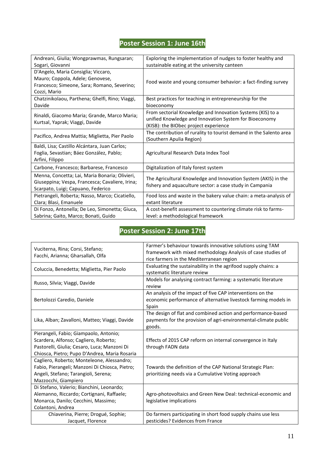## **Poster Session 1: June 16th**

| Andreani, Giulia; Wongprawmas, Rungsaran;                                                                                               | Exploring the implementation of nudges to foster healthy and                                                                                                  |
|-----------------------------------------------------------------------------------------------------------------------------------------|---------------------------------------------------------------------------------------------------------------------------------------------------------------|
| Sogari, Giovanni                                                                                                                        | sustainable eating at the university canteen                                                                                                                  |
| D'Angelo, Maria Consiglia; Viccaro,<br>Mauro; Coppola, Adele; Genovese,<br>Francesco; Simeone, Sara; Romano, Severino;<br>Cozzi, Mario  | Food waste and young consumer behavior: a fact-finding survey                                                                                                 |
| Chatzinikolaou, Parthena; Ghelfi, Rino; Viaggi,<br>Davide                                                                               | Best practices for teaching in entrepreneurship for the<br>bioeconomy                                                                                         |
| Rinaldi, Giacomo Maria; Grande, Marco Maria;<br>Kurtsal, Yaprak; Viaggi, Davide                                                         | From sectorial Knowledge and Innovation Systems (KIS) to a<br>unified Knowledge and Innovation System for Bioeconomy<br>(KISB): the BIObec project experience |
| Pacifico, Andrea Mattia; Miglietta, Pier Paolo                                                                                          | The contribution of rurality to tourist demand in the Salento area<br>(Southern Apulia Region)                                                                |
| Baldi, Lisa; Castillo Alcántara, Juan Carlos;<br>Foglia, Sevastian; Báez González, Pablo;<br>Arfini, Filippo                            | Agricultural Research Data Index Tool                                                                                                                         |
| Carbone, Francesco; Barbarese, Francesco                                                                                                | Digitalization of Italy forest system                                                                                                                         |
| Menna, Concetta; Lai, Maria Bonaria; Olivieri,<br>Giuseppina; Vespa, Francesca; Cavaliere, Irina;<br>Scarpato, Luigi; Capuano, Federico | The Agricultural Knowledge and Innovation System (AKIS) in the<br>fishery and aquaculture sector: a case study in Campania                                    |
| Pietrangeli, Roberta; Nasso, Marco; Cicatiello,<br>Clara; Blasi, Emanuele                                                               | Food loss and waste in the bakery value chain: a meta-analysis of<br>extant literature                                                                        |
| Di Fonzo, Antonella; De Leo, Simonetta; Giuca,<br>Sabrina; Gaito, Marco; Bonati, Guido                                                  | A cost-benefit assessment to countering climate risk to farms-<br>level: a methodological framework                                                           |

## **Poster Session 2: June 17th**

| Vuciterna, Rina; Corsi, Stefano;<br>Facchi, Arianna; Gharsallah, Olfa                                                                                        | Farmer's behaviour towards innovative solutions using TAM<br>framework with mixed methodology Analysis of case studies of<br>rice farmers in the Mediterranean region |
|--------------------------------------------------------------------------------------------------------------------------------------------------------------|-----------------------------------------------------------------------------------------------------------------------------------------------------------------------|
| Coluccia, Benedetta; Miglietta, Pier Paolo                                                                                                                   | Evaluating the sustainability in the agrifood supply chains: a<br>systematic literature review                                                                        |
| Russo, Silvia; Viaggi, Davide                                                                                                                                | Models for analysing contract farming: a systematic literature<br>review                                                                                              |
| Bertolozzi Caredio, Daniele                                                                                                                                  | An analysis of the impact of five CAP interventions on the<br>economic performance of alternative livestock farming models in<br>Spain                                |
| Lika, Alban; Zavalloni, Matteo; Viaggi, Davide                                                                                                               | The design of flat and combined action and performance-based<br>payments for the provision of agri-environmental-climate public<br>goods.                             |
| Pierangeli, Fabio; Giampaolo, Antonio;                                                                                                                       |                                                                                                                                                                       |
| Scardera, Alfonso; Cagliero, Roberto;                                                                                                                        | Effects of 2015 CAP reform on internal convergence in Italy                                                                                                           |
| Pastorelli, Giulia; Cesaro, Luca; Manzoni Di                                                                                                                 | through FADN data                                                                                                                                                     |
| Chiosca, Pietro; Pupo D'Andrea, Maria Rosaria                                                                                                                |                                                                                                                                                                       |
| Cagliero, Roberto; Monteleone, Alessandro;<br>Fabio, Pierangeli; Manzoni Di Chiosca, Pietro;<br>Angeli, Stefano; Tarangioli, Serena;<br>Mazzocchi, Giampiero | Towards the definition of the CAP National Strategic Plan:<br>prioritizing needs via a Cumulative Voting approach                                                     |
| Di Stefano, Valerio; Bianchini, Leonardo;                                                                                                                    |                                                                                                                                                                       |
| Alemanno, Riccardo; Cortignani, Raffaele;                                                                                                                    | Agro-photovoltaics and Green New Deal: technical-economic and                                                                                                         |
| Monarca, Danilo; Cecchini, Massimo;                                                                                                                          | legislative implications                                                                                                                                              |
| Colantoni, Andrea                                                                                                                                            |                                                                                                                                                                       |
| Chiaverina, Pierre; Drogué, Sophie;<br>Jacquet, Florence                                                                                                     | Do farmers participating in short food supply chains use less<br>pesticides? Evidences from France                                                                    |